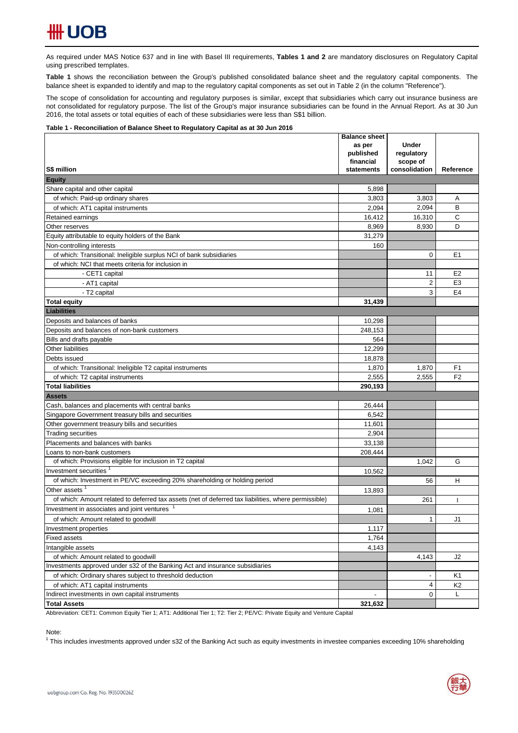As required under MAS Notice 637 and in line with Basel III requirements, Tables 1 and 2 are mandatory disclosures on Regulatory Capital using prescribed templates.

**Table 1** shows the reconciliation between the Group's published consolidated balance sheet and the regulatory capital components. The balance sheet is expanded to identify and map to the regulatory capital components as set out in Table 2 (in the column "Reference").

The scope of consolidation for accounting and regulatory purposes is similar, except that subsidiaries which carry out insurance business are not consolidated for regulatory purpose. The list of the Group's major insurance subsidiaries can be found in the Annual Report. As at 30 Jun 2016, the total assets or total equities of each of these subsidiaries were less than S\$1 billion.

### **Table 1 - Reconciliation of Balance Sheet to Regulatory Capital as at 30 Jun 2016**

|                                                                                                      | <b>Balance sheet</b><br>as per<br>published | <b>Under</b><br>regulatory |                |
|------------------------------------------------------------------------------------------------------|---------------------------------------------|----------------------------|----------------|
|                                                                                                      | financial                                   | scope of                   |                |
| S\$ million<br><b>Equity</b>                                                                         | statements                                  | consolidation              | Reference      |
| Share capital and other capital                                                                      | 5,898                                       |                            |                |
| of which: Paid-up ordinary shares                                                                    | 3,803                                       | 3,803                      | Α              |
| of which: AT1 capital instruments                                                                    | 2,094                                       | 2,094                      | B              |
| Retained earnings                                                                                    | 16,412                                      | 16,310                     | C              |
| Other reserves                                                                                       | 8,969                                       | 8,930                      | D              |
| Equity attributable to equity holders of the Bank                                                    | 31,279                                      |                            |                |
| Non-controlling interests                                                                            | 160                                         |                            |                |
| of which: Transitional: Ineligible surplus NCI of bank subsidiaries                                  |                                             | $\mathbf 0$                | E <sub>1</sub> |
| of which: NCI that meets criteria for inclusion in                                                   |                                             |                            |                |
| - CET1 capital                                                                                       |                                             | 11                         | E <sub>2</sub> |
| - AT1 capital                                                                                        |                                             | 2                          | E <sub>3</sub> |
| - T2 capital                                                                                         |                                             | 3                          | E <sub>4</sub> |
|                                                                                                      |                                             |                            |                |
| <b>Total equity</b><br><b>Liabilities</b>                                                            | 31,439                                      |                            |                |
| Deposits and balances of banks                                                                       | 10,298                                      |                            |                |
| Deposits and balances of non-bank customers                                                          | 248,153                                     |                            |                |
| Bills and drafts payable                                                                             | 564                                         |                            |                |
| Other liabilities                                                                                    | 12,299                                      |                            |                |
| Debts issued                                                                                         | 18,878                                      |                            |                |
| of which: Transitional: Ineligible T2 capital instruments                                            | 1,870                                       | 1,870                      | F <sub>1</sub> |
| of which: T2 capital instruments                                                                     | 2,555                                       | 2,555                      | F <sub>2</sub> |
| <b>Total liabilities</b>                                                                             | 290,193                                     |                            |                |
| <b>Assets</b>                                                                                        |                                             |                            |                |
| Cash, balances and placements with central banks                                                     | 26,444                                      |                            |                |
| Singapore Government treasury bills and securities                                                   | 6,542                                       |                            |                |
| Other government treasury bills and securities                                                       | 11,601                                      |                            |                |
| <b>Trading securities</b>                                                                            | 2,904                                       |                            |                |
| Placements and balances with banks                                                                   | 33,138                                      |                            |                |
| Loans to non-bank customers                                                                          | 208,444                                     |                            |                |
| of which: Provisions eligible for inclusion in T2 capital                                            |                                             | 1,042                      | G              |
| Investment securities                                                                                | 10,562                                      |                            |                |
| of which: Investment in PE/VC exceeding 20% shareholding or holding period                           |                                             | 56                         | н              |
| Other assets                                                                                         | 13,893                                      |                            |                |
| of which: Amount related to deferred tax assets (net of deferred tax liabilities, where permissible) |                                             | 261                        |                |
| Investment in associates and joint ventures                                                          | 1,081                                       |                            |                |
| of which: Amount related to goodwill                                                                 |                                             | 1                          | J1             |
| Investment properties                                                                                | 1,117                                       |                            |                |
| <b>Fixed assets</b>                                                                                  | 1,764                                       |                            |                |
| Intangible assets                                                                                    | 4,143                                       |                            |                |
| of which: Amount related to goodwill                                                                 |                                             | 4,143                      | J2             |
| Investments approved under s32 of the Banking Act and insurance subsidiaries                         |                                             |                            |                |
| of which: Ordinary shares subject to threshold deduction                                             |                                             | $\overline{\phantom{a}}$   | K1             |
| of which: AT1 capital instruments                                                                    |                                             | 4                          | K <sub>2</sub> |
| Indirect investments in own capital instruments                                                      |                                             | 0                          | L              |
| <b>Total Assets</b>                                                                                  | 321,632                                     |                            |                |

Abbreviation: CET1: Common Equity Tier 1; AT1: Additional Tier 1; T2: Tier 2; PE/VC: Private Equity and Venture Capital

Note:

<sup>1</sup> This includes investments approved under s32 of the Banking Act such as equity investments in investee companies exceeding 10% shareholding

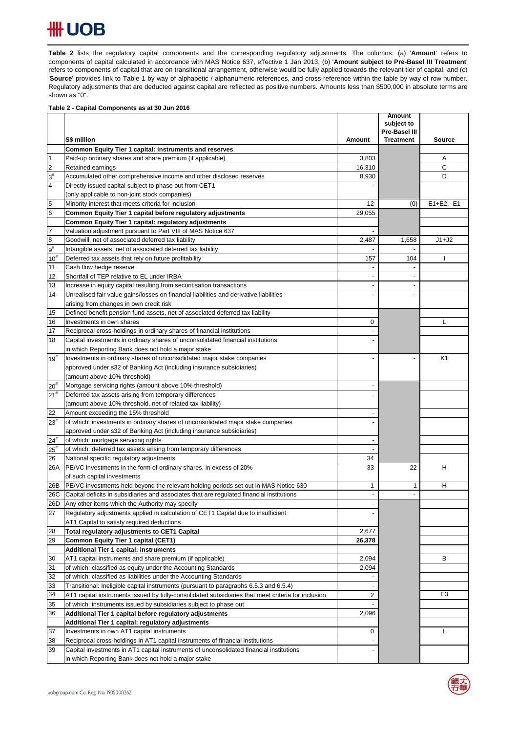# **HH UOB**

Table 2 lists the regulatory capital components and the corresponding regulatory adjustments. The columns: (a) 'Amount' refers to components of capital calculated in accordance with MAS Notice 637, effective 1 Jan 2013, (b) '**Amount subject to Pre-Basel III Treatment**' refers to components of capital that are on transitional arrangement, otherwise would be fully applied towards the relevant tier of capital, and (c) '**Source**' provides link to Table 1 by way of alphabetic / alphanumeric references, and cross-reference within the table by way of row number. Regulatory adjustments that are deducted against capital are reflected as positive numbers. Amounts less than \$500,000 in absolute terms are shown as "0".

### **Table 2 - Capital Components as at 30 Jun 2016**

|                 |                                                                                                    |                          | <b>Amount</b><br>subject to |                |
|-----------------|----------------------------------------------------------------------------------------------------|--------------------------|-----------------------------|----------------|
|                 |                                                                                                    |                          | Pre-Basel III               |                |
|                 | S\$ million                                                                                        | Amount                   | <b>Treatment</b>            | Source         |
|                 | Common Equity Tier 1 capital: instruments and reserves                                             |                          |                             |                |
| $\vert$ 1       | Paid-up ordinary shares and share premium (if applicable)                                          | 3,803                    |                             | Α              |
| $\overline{2}$  | Retained earnings                                                                                  | 16,310                   |                             | С              |
| $3^{\sharp}$    | Accumulated other comprehensive income and other disclosed reserves                                | 8,930                    |                             | D              |
| $\overline{4}$  | Directly issued capital subject to phase out from CET1                                             |                          |                             |                |
|                 | (only applicable to non-joint stock companies)                                                     |                          |                             |                |
| 5               | Minority interest that meets criteria for inclusion                                                | 12                       | (0)                         | $E1 + E2, -E1$ |
| $6\phantom{.}6$ | Common Equity Tier 1 capital before regulatory adjustments                                         | 29,055                   |                             |                |
|                 | Common Equity Tier 1 capital: regulatory adjustments                                               |                          |                             |                |
| $\overline{7}$  | Valuation adjustment pursuant to Part VIII of MAS Notice 637                                       | $\blacksquare$           |                             |                |
| $\bf{8}$        | Goodwill, net of associated deferred tax liability                                                 | 2,487                    | 1,658                       | $J1+J2$        |
| $9^{\sharp}$    | Intangible assets, net of associated deferred tax liability                                        |                          | $\overline{\phantom{a}}$    |                |
| $10^{#}$        | Deferred tax assets that rely on future profitability                                              | 157                      | 104                         |                |
| 11              | Cash flow hedge reserve                                                                            |                          |                             |                |
| 12              | Shortfall of TEP relative to EL under IRBA                                                         | $\overline{\phantom{a}}$ |                             |                |
| 13              | Increase in equity capital resulting from securitisation transactions                              |                          |                             |                |
| 14              | Unrealised fair value gains/losses on financial liabilities and derivative liabilities             |                          |                             |                |
|                 | arising from changes in own credit risk                                                            |                          |                             |                |
| 15              | Defined benefit pension fund assets, net of associated deferred tax liability                      |                          |                             |                |
| 16              | Investments in own shares                                                                          | 0                        |                             | L              |
| 17              | Reciprocal cross-holdings in ordinary shares of financial institutions                             |                          |                             |                |
| 18              | Capital investments in ordinary shares of unconsolidated financial institutions                    |                          |                             |                |
|                 | in which Reporting Bank does not hold a major stake                                                |                          |                             |                |
| $19^{#}$        | Investments in ordinary shares of unconsolidated major stake companies                             |                          |                             | K <sub>1</sub> |
|                 | approved under s32 of Banking Act (including insurance subsidiaries)                               |                          |                             |                |
|                 | (amount above 10% threshold)                                                                       |                          |                             |                |
| $20^{#}$        | Mortgage servicing rights (amount above 10% threshold)                                             |                          |                             |                |
| 21 <sup>#</sup> | Deferred tax assets arising from temporary differences                                             |                          |                             |                |
|                 | (amount above 10% threshold, net of related tax liability)                                         |                          |                             |                |
| 22              | Amount exceeding the 15% threshold                                                                 |                          |                             |                |
| $23^{#}$        | of which: investments in ordinary shares of unconsolidated major stake companies                   |                          |                             |                |
|                 | approved under s32 of Banking Act (including insurance subsidiaries)                               |                          |                             |                |
| $24^{#}$        | of which: mortgage servicing rights                                                                | $\overline{\phantom{a}}$ |                             |                |
| $25^{\rm #}$    | of which: deferred tax assets arising from temporary differences                                   |                          |                             |                |
| 26              | National specific regulatory adjustments                                                           | 34                       |                             |                |
| 26A             | PE/VC investments in the form of ordinary shares, in excess of 20%                                 | 33                       | 22                          | н              |
|                 | of such capital investments                                                                        |                          |                             |                |
| 26B             | PE/VC investments held beyond the relevant holding periods set out in MAS Notice 630               | 1                        | 1                           | н              |
| 26C             | Capital deficits in subsidiaries and associates that are regulated financial institutions          |                          |                             |                |
|                 | 26D Any other items which the Authority may specify                                                |                          |                             |                |
| 27              | Regulatory adjustments applied in calculation of CET1 Capital due to insufficient                  |                          |                             |                |
|                 | AT1 Capital to satisfy required deductions                                                         |                          |                             |                |
| 28              | Total regulatory adjustments to CET1 Capital                                                       | 2,677                    |                             |                |
| 29              | <b>Common Equity Tier 1 capital (CET1)</b>                                                         | 26,378                   |                             |                |
|                 | <b>Additional Tier 1 capital: instruments</b>                                                      |                          |                             |                |
| 30              | AT1 capital instruments and share premium (if applicable)                                          | 2,094                    |                             | В              |
| 31              | of which: classified as equity under the Accounting Standards                                      | 2,094                    |                             |                |
| 32              | of which: classified as liabilities under the Accounting Standards                                 |                          |                             |                |
| 33              | Transitional: Ineligible capital instruments (pursuant to paragraphs 6.5.3 and 6.5.4)              |                          |                             |                |
| 34              | AT1 capital instruments issued by fully-consolidated subsidiaries that meet criteria for inclusion | 2                        |                             | E <sub>3</sub> |
| 35              | of which: instruments issued by subsidiaries subject to phase out                                  |                          |                             |                |
| 36              | Additional Tier 1 capital before regulatory adjustments                                            | 2,096                    |                             |                |
|                 | Additional Tier 1 capital: regulatory adjustments                                                  |                          |                             |                |
| 37              | Investments in own AT1 capital instruments                                                         | 0                        |                             | L              |
| 38              | Reciprocal cross-holdings in AT1 capital instruments of financial institutions                     |                          |                             |                |
| 39              | Capital investments in AT1 capital instruments of unconsolidated financial institutions            |                          |                             |                |
|                 | in which Reporting Bank does not hold a major stake                                                |                          |                             |                |

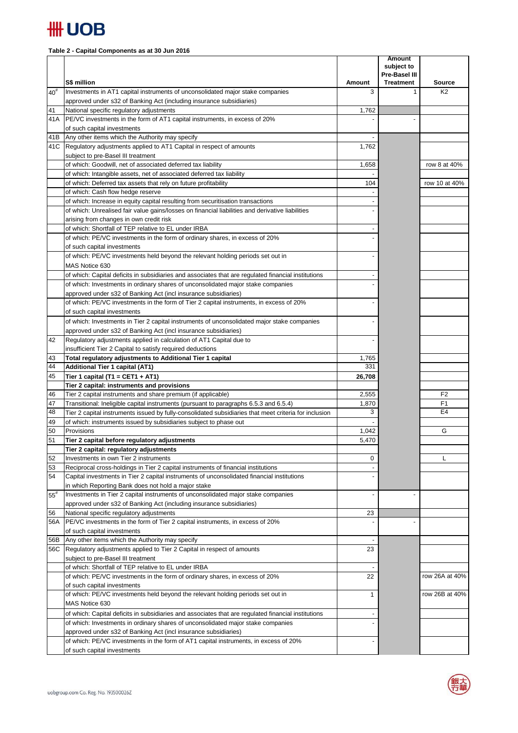

## **Table 2 - Capital Components as at 30 Jun 2016**

|            | S\$ million                                                                                                                           | Amount                   | <b>Amount</b><br>subject to<br>Pre-Basel III<br><b>Treatment</b> | <b>Source</b>  |
|------------|---------------------------------------------------------------------------------------------------------------------------------------|--------------------------|------------------------------------------------------------------|----------------|
| $40^{#}$   | Investments in AT1 capital instruments of unconsolidated major stake companies                                                        | 3                        | 1                                                                | K <sub>2</sub> |
|            | approved under s32 of Banking Act (including insurance subsidiaries)                                                                  |                          |                                                                  |                |
| 41         | National specific regulatory adjustments                                                                                              | 1,762                    |                                                                  |                |
| 41A        | PE/VC investments in the form of AT1 capital instruments, in excess of 20%                                                            |                          |                                                                  |                |
|            | of such capital investments                                                                                                           |                          |                                                                  |                |
| 41B        | Any other items which the Authority may specify                                                                                       |                          |                                                                  |                |
| 41C        | Regulatory adjustments applied to AT1 Capital in respect of amounts                                                                   | 1,762                    |                                                                  |                |
|            | subject to pre-Basel III treatment                                                                                                    |                          |                                                                  |                |
|            | of which: Goodwill, net of associated deferred tax liability<br>of which: Intangible assets, net of associated deferred tax liability | 1,658                    |                                                                  | row 8 at 40%   |
|            | of which: Deferred tax assets that rely on future profitability                                                                       | 104                      |                                                                  | row 10 at 40%  |
|            | of which: Cash flow hedge reserve                                                                                                     |                          |                                                                  |                |
|            | of which: Increase in equity capital resulting from securitisation transactions                                                       |                          |                                                                  |                |
|            | of which: Unrealised fair value gains/losses on financial liabilities and derivative liabilities                                      |                          |                                                                  |                |
|            | arising from changes in own credit risk                                                                                               |                          |                                                                  |                |
|            | of which: Shortfall of TEP relative to EL under IRBA                                                                                  |                          |                                                                  |                |
|            | of which: PE/VC investments in the form of ordinary shares, in excess of 20%                                                          |                          |                                                                  |                |
|            | of such capital investments                                                                                                           |                          |                                                                  |                |
|            | of which: PE/VC investments held beyond the relevant holding periods set out in                                                       |                          |                                                                  |                |
|            | MAS Notice 630                                                                                                                        |                          |                                                                  |                |
|            | of which: Capital deficits in subsidiaries and associates that are regulated financial institutions                                   |                          |                                                                  |                |
|            | of which: Investments in ordinary shares of unconsolidated major stake companies                                                      |                          |                                                                  |                |
|            | approved under s32 of Banking Act (incl insurance subsidiaries)                                                                       |                          |                                                                  |                |
|            | of which: PE/VC investments in the form of Tier 2 capital instruments, in excess of 20%                                               |                          |                                                                  |                |
|            | of such capital investments                                                                                                           |                          |                                                                  |                |
|            | of which: Investments in Tier 2 capital instruments of unconsolidated major stake companies                                           |                          |                                                                  |                |
|            | approved under s32 of Banking Act (incl insurance subsidiaries)                                                                       |                          |                                                                  |                |
| 42         | Regulatory adjustments applied in calculation of AT1 Capital due to                                                                   |                          |                                                                  |                |
|            | insufficient Tier 2 Capital to satisfy required deductions                                                                            |                          |                                                                  |                |
| 43         | Total regulatory adjustments to Additional Tier 1 capital                                                                             | 1,765                    |                                                                  |                |
| 44         | <b>Additional Tier 1 capital (AT1)</b>                                                                                                | 331                      |                                                                  |                |
| 45         | Tier 1 capital (T1 = CET1 + AT1)                                                                                                      | 26,708                   |                                                                  |                |
| 46         | Tier 2 capital: instruments and provisions<br>Tier 2 capital instruments and share premium (if applicable)                            | 2,555                    |                                                                  | F <sub>2</sub> |
| 47         | Transitional: Ineligible capital instruments (pursuant to paragraphs 6.5.3 and 6.5.4)                                                 | 1,870                    |                                                                  | F1             |
| 48         | Tier 2 capital instruments issued by fully-consolidated subsidiaries that meet criteria for inclusion                                 | 3                        |                                                                  | E <sub>4</sub> |
| 49         | of which: instruments issued by subsidiaries subject to phase out                                                                     |                          |                                                                  |                |
| 50         | Provisions                                                                                                                            | 1,042                    |                                                                  | G              |
| 51         | Tier 2 capital before regulatory adjustments                                                                                          | 5,470                    |                                                                  |                |
|            | Tier 2 capital: regulatory adjustments                                                                                                |                          |                                                                  |                |
| 52         | Investments in own Tier 2 instruments                                                                                                 | 0                        |                                                                  | L              |
| 53         | Reciprocal cross-holdings in Tier 2 capital instruments of financial institutions                                                     |                          |                                                                  |                |
| 54         | Capital investments in Tier 2 capital instruments of unconsolidated financial institutions                                            |                          |                                                                  |                |
|            | in which Reporting Bank does not hold a major stake                                                                                   |                          |                                                                  |                |
| $55^{#}$   | Investments in Tier 2 capital instruments of unconsolidated major stake companies                                                     | $\overline{\phantom{a}}$ |                                                                  |                |
|            | approved under s32 of Banking Act (including insurance subsidiaries)                                                                  |                          |                                                                  |                |
| 56         | National specific regulatory adjustments                                                                                              | 23                       |                                                                  |                |
| 56A        | PE/VC investments in the form of Tier 2 capital instruments, in excess of 20%                                                         |                          |                                                                  |                |
|            | of such capital investments                                                                                                           |                          |                                                                  |                |
| 56B<br>56C | Any other items which the Authority may specify<br>Regulatory adjustments applied to Tier 2 Capital in respect of amounts             | 23                       |                                                                  |                |
|            | subject to pre-Basel III treatment                                                                                                    |                          |                                                                  |                |
|            | of which: Shortfall of TEP relative to EL under IRBA                                                                                  |                          |                                                                  |                |
|            | of which: PE/VC investments in the form of ordinary shares, in excess of 20%                                                          | 22                       |                                                                  | row 26A at 40% |
|            | of such capital investments                                                                                                           |                          |                                                                  |                |
|            | of which: PE/VC investments held beyond the relevant holding periods set out in                                                       | 1                        |                                                                  | row 26B at 40% |
|            | MAS Notice 630                                                                                                                        |                          |                                                                  |                |
|            | of which: Capital deficits in subsidiaries and associates that are regulated financial institutions                                   |                          |                                                                  |                |
|            | of which: Investments in ordinary shares of unconsolidated major stake companies                                                      |                          |                                                                  |                |
|            | approved under s32 of Banking Act (incl insurance subsidiaries)                                                                       |                          |                                                                  |                |
|            | of which: PE/VC investments in the form of AT1 capital instruments, in excess of 20%                                                  |                          |                                                                  |                |
|            | of such capital investments                                                                                                           |                          |                                                                  |                |